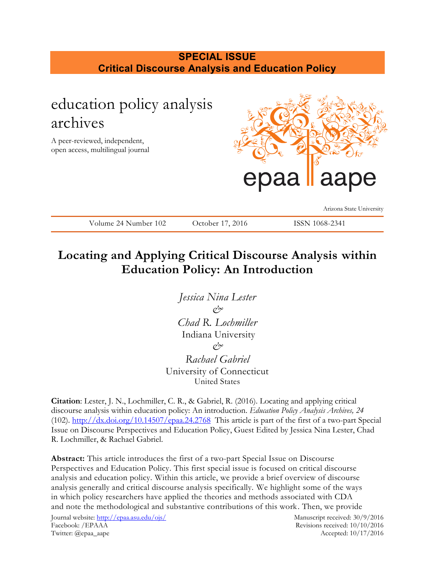# **SPECIAL ISSUE Critical Discourse Analysis and Education Policy**

# education policy analysis archives A peer-reviewed, independent, open access, multilingual journal Arizona State University Volume 24 Number 102 October 17, 2016 ISSN 1068-2341

# **Locating and Applying Critical Discourse Analysis within Education Policy: An Introduction**

*Jessica Nina Lester & Chad R. Lochmiller* Indiana University *&*

*Rachael Gabriel* University of Connecticut United States

**Citation**: Lester, J. N., Lochmiller, C. R., & Gabriel, R. (2016). Locating and applying critical discourse analysis within education policy: An introduction. *Education Policy Analysis Archives, 24* (102).  $\frac{http://dx.doi.org/10.14507/epaa.24.2768}{http://dx.doi.org/10.14507/epaa.24.2768}$  $\frac{http://dx.doi.org/10.14507/epaa.24.2768}{http://dx.doi.org/10.14507/epaa.24.2768}$  $\frac{http://dx.doi.org/10.14507/epaa.24.2768}{http://dx.doi.org/10.14507/epaa.24.2768}$  This article is part of the first of a two-part Special Issue on Discourse Perspectives and Education Policy, Guest Edited by Jessica Nina Lester, Chad R. Lochmiller, & Rachael Gabriel.

**Abstract:** This article introduces the first of a two-part Special Issue on Discourse Perspectives and Education Policy. This first special issue is focused on critical discourse analysis and education policy. Within this article, we provide a brief overview of discourse analysis generally and critical discourse analysis specifically. We highlight some of the ways in which policy researchers have applied the theories and methods associated with CDA and note the methodological and substantive contributions of this work. Then, we provide

Journal website:<http://epaa.asu.edu/ojs/> Manuscript received: 30/9/2016 Facebook: /EPAAA Revisions received: 10/10/2016 Twitter: @epaa\_aape Accepted: 10/17/2016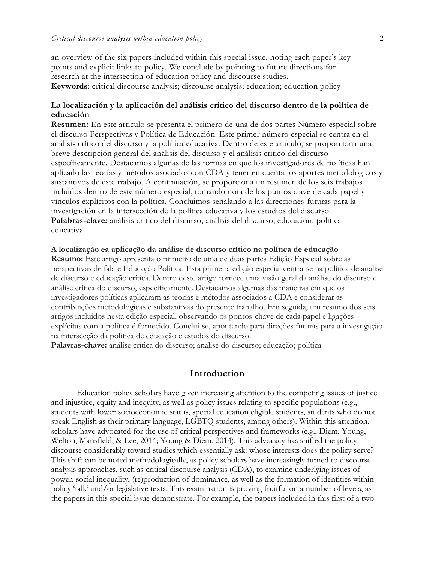an overview of the six papers included within this special issue, noting each paper's key points and explicit links to policy. We conclude by pointing to future directions for research at the intersection of education policy and discourse studies. **Keywords**: critical discourse analysis; discourse analysis; education; education policy

### **La localización y la aplicación del análisis crítico del discurso dentro de la política de educación**

**Resumen:** En este artículo se presenta el primero de una de dos partes Número especial sobre el discurso Perspectivas y Política de Educación. Este primer número especial se centra en el análisis crítico del discurso y la política educativa. Dentro de este artículo, se proporciona una breve descripción general del análisis del discurso y el análisis crítico del discurso específicamente. Destacamos algunas de las formas en que los investigadores de políticas han aplicado las teorías y métodos asociados con CDA y tener en cuenta los aportes metodológicos y sustantivos de este trabajo. A continuación, se proporciona un resumen de los seis trabajos incluidos dentro de este número especial, tomando nota de los puntos clave de cada papel y vínculos explícitos con la política. Concluimos señalando a las direcciones futuras para la investigación en la intersección de la política educativa y los estudios del discurso. **Palabras-clave:** análisis crítico del discurso; análisis del discurso; educación; política educativa

### **A localização ea aplicação da análise de discurso crítico na política de educação**

**Resumo:** Este artigo apresenta o primeiro de uma de duas partes Edição Especial sobre as perspectivas de fala e Educação Política. Esta primeira edição especial centra-se na política de análise de discurso e educação crítica. Dentro deste artigo fornece uma visão geral da análise do discurso e análise crítica do discurso, especificamente. Destacamos algumas das maneiras em que os investigadores políticas aplicaram as teorias e métodos associados a CDA e considerar as contribuições metodológicas e substantivas do presente trabalho. Em seguida, um resumo dos seis artigos incluídos nesta edição especial, observando os pontos-chave de cada papel e ligações explícitas com a política é fornecido. Conclui-se, apontando para direções futuras para a investigação na intersecção da política de educação e estudos do discurso.

**Palavras-chave:** análise crítica do discurso; análise do discurso; educação; política

### **Introduction**

Education policy scholars have given increasing attention to the competing issues of justice and injustice, equity and inequity, as well as policy issues relating to specific populations (e.g., students with lower socioeconomic status, special education eligible students, students who do not speak English as their primary language, LGBTQ students, among others). Within this attention, scholars have advocated for the use of critical perspectives and frameworks (e.g., Diem, Young, Welton, Mansfield, & Lee, 2014; Young & Diem, 2014). This advocacy has shifted the policy discourse considerably toward studies which essentially ask: whose interests does the policy serve? This shift can be noted methodologically, as policy scholars have increasingly turned to discourse analysis approaches, such as critical discourse analysis (CDA), to examine underlying issues of power, social inequality, (re)production of dominance, as well as the formation of identities within policy 'talk' and/or legislative texts. This examination is proving fruitful on a number of levels, as the papers in this special issue demonstrate. For example, the papers included in this first of a two-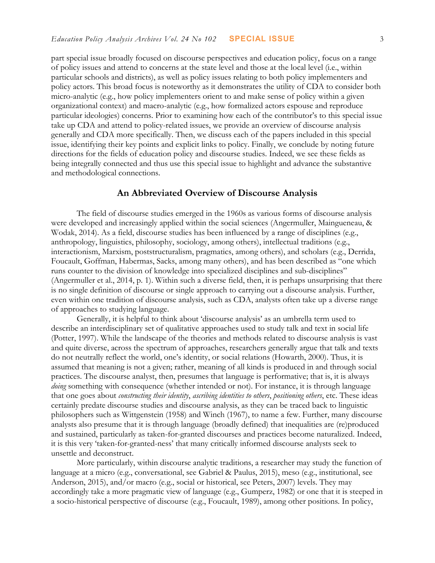part special issue broadly focused on discourse perspectives and education policy, focus on a range of policy issues and attend to concerns at the state level and those at the local level (i.e., within particular schools and districts), as well as policy issues relating to both policy implementers and policy actors. This broad focus is noteworthy as it demonstrates the utility of CDA to consider both micro-analytic (e.g., how policy implementers orient to and make sense of policy within a given organizational context) and macro-analytic (e.g., how formalized actors espouse and reproduce particular ideologies) concerns. Prior to examining how each of the contributor's to this special issue take up CDA and attend to policy-related issues, we provide an overview of discourse analysis generally and CDA more specifically. Then, we discuss each of the papers included in this special issue, identifying their key points and explicit links to policy. Finally, we conclude by noting future directions for the fields of education policy and discourse studies. Indeed, we see these fields as being integrally connected and thus use this special issue to highlight and advance the substantive and methodological connections.

### **An Abbreviated Overview of Discourse Analysis**

The field of discourse studies emerged in the 1960s as various forms of discourse analysis were developed and increasingly applied within the social sciences (Angermuller, Maingueneau, & Wodak, 2014). As a field, discourse studies has been influenced by a range of disciplines (e.g., anthropology, linguistics, philosophy, sociology, among others), intellectual traditions (e.g., interactionism, Marxism, poststructuralism, pragmatics, among others), and scholars (e.g., Derrida, Foucault, Goffman, Habermas, Sacks, among many others), and has been described as "one which runs counter to the division of knowledge into specialized disciplines and sub-disciplines" (Angermuller et al., 2014, p. 1). Within such a diverse field, then, it is perhaps unsurprising that there is no single definition of discourse or single approach to carrying out a discourse analysis. Further, even within one tradition of discourse analysis, such as CDA, analysts often take up a diverse range of approaches to studying language.

Generally, it is helpful to think about 'discourse analysis' as an umbrella term used to describe an interdisciplinary set of qualitative approaches used to study talk and text in social life (Potter, 1997). While the landscape of the theories and methods related to discourse analysis is vast and quite diverse, across the spectrum of approaches, researchers generally argue that talk and texts do not neutrally reflect the world, one's identity, or social relations (Howarth, 2000). Thus, it is assumed that meaning is not a given; rather, meaning of all kinds is produced in and through social practices. The discourse analyst, then, presumes that language is performative; that is, it is always doing something with consequence (whether intended or not). For instance, it is through language that one goes about *constructing their identity*, *ascribing identities to others*, *positioning others*, etc. These ideas certainly predate discourse studies and discourse analysis, as they can be traced back to linguistic philosophers such as Wittgenstein (1958) and Winch (1967), to name a few. Further, many discourse analysts also presume that it is through language (broadly defined) that inequalities are (re)produced and sustained, particularly as taken-for-granted discourses and practices become naturalized. Indeed, it is this very 'taken-for-granted-ness' that many critically informed discourse analysts seek to unsettle and deconstruct.

More particularly, within discourse analytic traditions, a researcher may study the function of language at a micro (e.g., conversational, see Gabriel & Paulus, 2015), meso (e.g., institutional, see Anderson, 2015), and/or macro (e.g., social or historical, see Peters, 2007) levels. They may accordingly take a more pragmatic view of language (e.g., Gumperz, 1982) or one that it is steeped in a socio-historical perspective of discourse (e.g., Foucault, 1989), among other positions. In policy,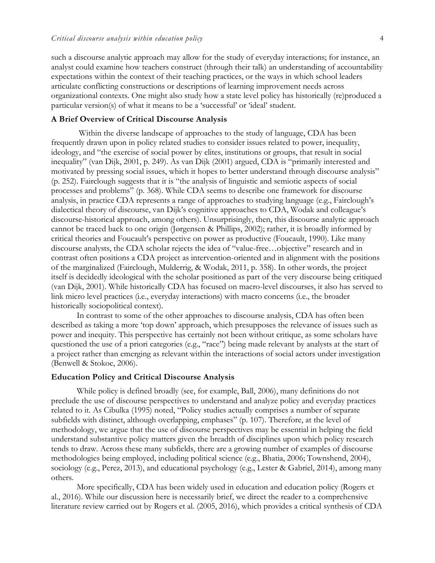such a discourse analytic approach may allow for the study of everyday interactions; for instance, an analyst could examine how teachers construct (through their talk) an understanding of accountability expectations within the context of their teaching practices, or the ways in which school leaders articulate conflicting constructions or descriptions of learning improvement needs across organizational contexts. One might also study how a state level policy has historically (re)produced a particular version(s) of what it means to be a 'successful' or 'ideal' student.

### **A Brief Overview of Critical Discourse Analysis**

Within the diverse landscape of approaches to the study of language, CDA has been frequently drawn upon in policy related studies to consider issues related to power, inequality, ideology, and "the exercise of social power by elites, institutions or groups, that result in social inequality" (van Dijk, 2001, p. 249). As van Dijk (2001) argued, CDA is "primarily interested and motivated by pressing social issues, which it hopes to better understand through discourse analysis" (p. 252). Fairclough suggests that it is "the analysis of linguistic and semiotic aspects of social processes and problems" (p. 368). While CDA seems to describe one framework for discourse analysis, in practice CDA represents a range of approaches to studying language (e.g., Fairclough's dialectical theory of discourse, van Dijk's cognitive approaches to CDA, Wodak and colleague's discourse-historical approach, among others). Unsurprisingly, then, this discourse analytic approach cannot be traced back to one origin (Jørgensen & Phillips, 2002); rather, it is broadly informed by critical theories and Foucault's perspective on power as productive (Foucault, 1990). Like many discourse analysts, the CDA scholar rejects the idea of "value-free…objective" research and in contrast often positions a CDA project as intervention-oriented and in alignment with the positions of the marginalized (Fairclough, Mulderrig, & Wodak, 2011, p. 358). In other words, the project itself is decidedly ideological with the scholar positioned as part of the very discourse being critiqued (van Dijk, 2001). While historically CDA has focused on macro-level discourses, it also has served to link micro level practices (i.e., everyday interactions) with macro concerns (i.e., the broader historically sociopolitical context).

In contrast to some of the other approaches to discourse analysis, CDA has often been described as taking a more 'top down' approach, which presupposes the relevance of issues such as power and inequity. This perspective has certainly not been without critique, as some scholars have questioned the use of a priori categories (e.g., "race") being made relevant by analysts at the start of a project rather than emerging as relevant within the interactions of social actors under investigation (Benwell & Stokoe, 2006).

### **Education Policy and Critical Discourse Analysis**

While policy is defined broadly (see, for example, Ball, 2006), many definitions do not preclude the use of discourse perspectives to understand and analyze policy and everyday practices related to it. As Cibulka (1995) noted, "Policy studies actually comprises a number of separate subfields with distinct, although overlapping, emphases" (p. 107). Therefore, at the level of methodology, we argue that the use of discourse perspectives may be essential in helping the field understand substantive policy matters given the breadth of disciplines upon which policy research tends to draw. Across these many subfields, there are a growing number of examples of discourse methodologies being employed, including political science (e.g., Bhatia, 2006; Townshend, 2004), sociology (e.g., Perez, 2013), and educational psychology (e.g., Lester & Gabriel, 2014), among many others.

More specifically, CDA has been widely used in education and education policy (Rogers et al., 2016). While our discussion here is necessarily brief, we direct the reader to a comprehensive literature review carried out by Rogers et al. (2005, 2016), which provides a critical synthesis of CDA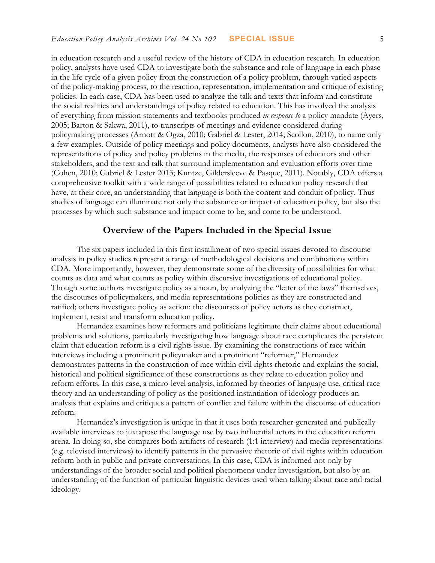in education research and a useful review of the history of CDA in education research. In education policy, analysts have used CDA to investigate both the substance and role of language in each phase in the life cycle of a given policy from the construction of a policy problem, through varied aspects of the policy-making process, to the reaction, representation, implementation and critique of existing policies. In each case, CDA has been used to analyze the talk and texts that inform and constitute the social realities and understandings of policy related to education. This has involved the analysis of everything from mission statements and textbooks produced *in response to* a policy mandate (Ayers, 2005; Barton & Sakwa, 2011), to transcripts of meetings and evidence considered during policymaking processes (Arnott & Ogza, 2010; Gabriel & Lester, 2014; Scollon, 2010), to name only a few examples. Outside of policy meetings and policy documents, analysts have also considered the representations of policy and policy problems in the media, the responses of educators and other stakeholders, and the text and talk that surround implementation and evaluation efforts over time (Cohen, 2010; Gabriel & Lester 2013; Kuntze, Gildersleeve & Pasque, 2011). Notably, CDA offers a comprehensive toolkit with a wide range of possibilities related to education policy research that have, at their core, an understanding that language is both the content and conduit of policy. Thus studies of language can illuminate not only the substance or impact of education policy, but also the processes by which such substance and impact come to be, and come to be understood.

### **Overview of the Papers Included in the Special Issue**

The six papers included in this first installment of two special issues devoted to discourse analysis in policy studies represent a range of methodological decisions and combinations within CDA. More importantly, however, they demonstrate some of the diversity of possibilities for what counts as data and what counts as policy within discursive investigations of educational policy. Though some authors investigate policy as a noun, by analyzing the "letter of the laws" themselves, the discourses of policymakers, and media representations policies as they are constructed and ratified; others investigate policy as action: the discourses of policy actors as they construct, implement, resist and transform education policy.

Hernandez examines how reformers and politicians legitimate their claims about educational problems and solutions, particularly investigating how language about race complicates the persistent claim that education reform is a civil rights issue. By examining the constructions of race within interviews including a prominent policymaker and a prominent "reformer," Hernandez demonstrates patterns in the construction of race within civil rights rhetoric and explains the social, historical and political significance of these constructions as they relate to education policy and reform efforts. In this case, a micro-level analysis, informed by theories of language use, critical race theory and an understanding of policy as the positioned instantiation of ideology produces an analysis that explains and critiques a pattern of conflict and failure within the discourse of education reform.

Hernandez's investigation is unique in that it uses both researcher-generated and publically available interviews to juxtapose the language use by two influential actors in the education reform arena. In doing so, she compares both artifacts of research (1:1 interview) and media representations (e.g. televised interviews) to identify patterns in the pervasive rhetoric of civil rights within education reform both in public and private conversations. In this case, CDA is informed not only by understandings of the broader social and political phenomena under investigation, but also by an understanding of the function of particular linguistic devices used when talking about race and racial ideology.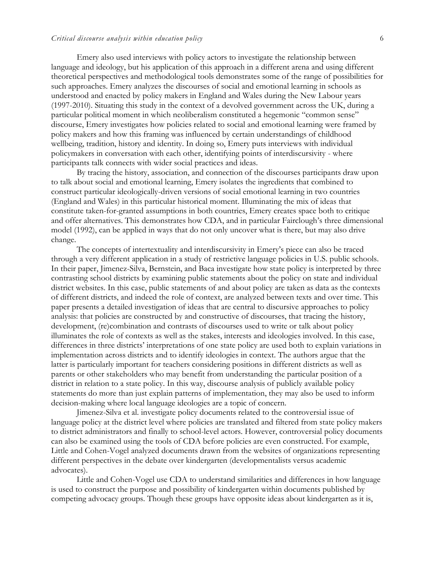### *Critical discourse analysis within education policy* 6

Emery also used interviews with policy actors to investigate the relationship between language and ideology, but his application of this approach in a different arena and using different theoretical perspectives and methodological tools demonstrates some of the range of possibilities for such approaches. Emery analyzes the discourses of social and emotional learning in schools as understood and enacted by policy makers in England and Wales during the New Labour years (1997-2010). Situating this study in the context of a devolved government across the UK, during a particular political moment in which neoliberalism constituted a hegemonic "common sense" discourse, Emery investigates how policies related to social and emotional learning were framed by policy makers and how this framing was influenced by certain understandings of childhood wellbeing, tradition, history and identity. In doing so, Emery puts interviews with individual policymakers in conversation with each other, identifying points of interdiscursivity - where participants talk connects with wider social practices and ideas.

By tracing the history, association, and connection of the discourses participants draw upon to talk about social and emotional learning, Emery isolates the ingredients that combined to construct particular ideologically-driven versions of social emotional learning in two countries (England and Wales) in this particular historical moment. Illuminating the mix of ideas that constitute taken-for-granted assumptions in both countries, Emery creates space both to critique and offer alternatives. This demonstrates how CDA, and in particular Fairclough's three dimensional model (1992), can be applied in ways that do not only uncover what is there, but may also drive change.

The concepts of intertextuality and interdiscursivity in Emery's piece can also be traced through a very different application in a study of restrictive language policies in U.S. public schools. In their paper, Jimenez-Silva, Bernstein, and Baca investigate how state policy is interpreted by three contrasting school districts by examining public statements about the policy on state and individual district websites. In this case, public statements of and about policy are taken as data as the contexts of different districts, and indeed the role of context, are analyzed between texts and over time. This paper presents a detailed investigation of ideas that are central to discursive approaches to policy analysis: that policies are constructed by and constructive of discourses, that tracing the history, development, (re)combination and contrasts of discourses used to write or talk about policy illuminates the role of contexts as well as the stakes, interests and ideologies involved. In this case, differences in three districts' interpretations of one state policy are used both to explain variations in implementation across districts and to identify ideologies in context. The authors argue that the latter is particularly important for teachers considering positions in different districts as well as parents or other stakeholders who may benefit from understanding the particular position of a district in relation to a state policy. In this way, discourse analysis of publicly available policy statements do more than just explain patterns of implementation, they may also be used to inform decision-making where local language ideologies are a topic of concern.

Jimenez-Silva et al. investigate policy documents related to the controversial issue of language policy at the district level where policies are translated and filtered from state policy makers to district administrators and finally to school-level actors. However, controversial policy documents can also be examined using the tools of CDA before policies are even constructed. For example, Little and Cohen-Vogel analyzed documents drawn from the websites of organizations representing different perspectives in the debate over kindergarten (developmentalists versus academic advocates).

Little and Cohen-Vogel use CDA to understand similarities and differences in how language is used to construct the purpose and possibility of kindergarten within documents published by competing advocacy groups. Though these groups have opposite ideas about kindergarten as it is,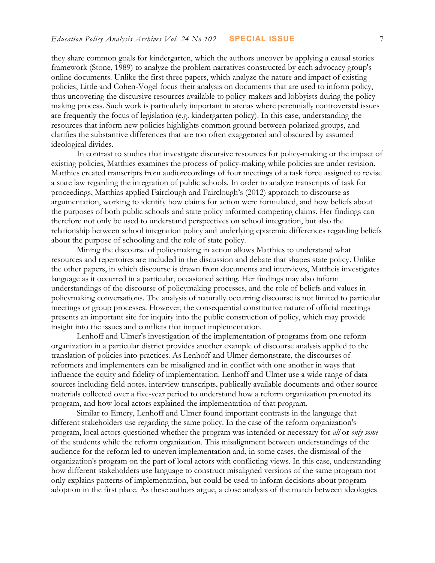they share common goals for kindergarten, which the authors uncover by applying a causal stories framework (Stone, 1989) to analyze the problem narratives constructed by each advocacy group's online documents. Unlike the first three papers, which analyze the nature and impact of existing policies, Little and Cohen-Vogel focus their analysis on documents that are used to inform policy, thus uncovering the discursive resources available to policy-makers and lobbyists during the policymaking process. Such work is particularly important in arenas where perennially controversial issues are frequently the focus of legislation (e.g. kindergarten policy). In this case, understanding the resources that inform new policies highlights common ground between polarized groups, and clarifies the substantive differences that are too often exaggerated and obscured by assumed ideological divides.

In contrast to studies that investigate discursive resources for policy-making or the impact of existing policies, Matthies examines the process of policy-making while policies are under revision. Matthies created transcripts from audiorecordings of four meetings of a task force assigned to revise a state law regarding the integration of public schools. In order to analyze transcripts of task for proceedings, Matthias applied Fairclough and Fairclough's (2012) approach to discourse as argumentation, working to identify how claims for action were formulated, and how beliefs about the purposes of both public schools and state policy informed competing claims. Her findings can therefore not only be used to understand perspectives on school integration, but also the relationship between school integration policy and underlying epistemic differences regarding beliefs about the purpose of schooling and the role of state policy.

Mining the discourse of policymaking in action allows Matthies to understand what resources and repertoires are included in the discussion and debate that shapes state policy. Unlike the other papers, in which discourse is drawn from documents and interviews, Mattheis investigates language as it occurred in a particular, occasioned setting. Her findings may also inform understandings of the discourse of policymaking processes, and the role of beliefs and values in policymaking conversations. The analysis of naturally occurring discourse is not limited to particular meetings or group processes. However, the consequential constitutive nature of official meetings presents an important site for inquiry into the public construction of policy, which may provide insight into the issues and conflicts that impact implementation.

Lenhoff and Ulmer's investigation of the implementation of programs from one reform organization in a particular district provides another example of discourse analysis applied to the translation of policies into practices. As Lenhoff and Ulmer demonstrate, the discourses of reformers and implementers can be misaligned and in conflict with one another in ways that influence the equity and fidelity of implementation. Lenhoff and Ulmer use a wide range of data sources including field notes, interview transcripts, publically available documents and other source materials collected over a five-year period to understand how a reform organization promoted its program, and how local actors explained the implementation of that program.

Similar to Emery, Lenhoff and Ulmer found important contrasts in the language that different stakeholders use regarding the same policy. In the case of the reform organization's program, local actors questioned whether the program was intended or necessary for *all* or *only some* of the students while the reform organization. This misalignment between understandings of the audience for the reform led to uneven implementation and, in some cases, the dismissal of the organization's program on the part of local actors with conflicting views. In this case, understanding how different stakeholders use language to construct misaligned versions of the same program not only explains patterns of implementation, but could be used to inform decisions about program adoption in the first place. As these authors argue, a close analysis of the match between ideologies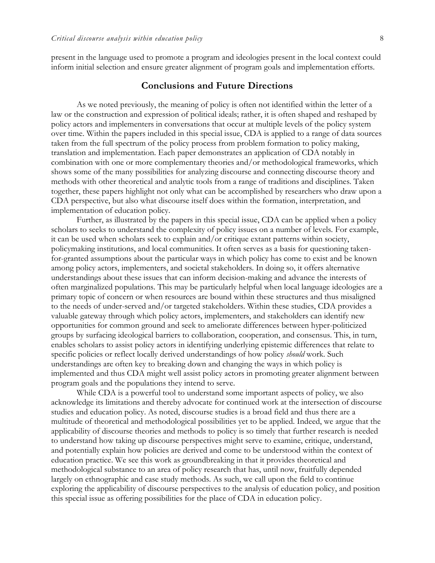present in the language used to promote a program and ideologies present in the local context could inform initial selection and ensure greater alignment of program goals and implementation efforts.

### **Conclusions and Future Directions**

As we noted previously, the meaning of policy is often not identified within the letter of a law or the construction and expression of political ideals; rather, it is often shaped and reshaped by policy actors and implementers in conversations that occur at multiple levels of the policy system over time. Within the papers included in this special issue, CDA is applied to a range of data sources taken from the full spectrum of the policy process from problem formation to policy making, translation and implementation. Each paper demonstrates an application of CDA notably in combination with one or more complementary theories and/or methodological frameworks, which shows some of the many possibilities for analyzing discourse and connecting discourse theory and methods with other theoretical and analytic tools from a range of traditions and disciplines. Taken together, these papers highlight not only what can be accomplished by researchers who draw upon a CDA perspective, but also what discourse itself does within the formation, interpretation, and implementation of education policy.

Further, as illustrated by the papers in this special issue, CDA can be applied when a policy scholars to seeks to understand the complexity of policy issues on a number of levels. For example, it can be used when scholars seek to explain and/or critique extant patterns within society, policymaking institutions, and local communities. It often serves as a basis for questioning takenfor-granted assumptions about the particular ways in which policy has come to exist and be known among policy actors, implementers, and societal stakeholders. In doing so, it offers alternative understandings about these issues that can inform decision-making and advance the interests of often marginalized populations. This may be particularly helpful when local language ideologies are a primary topic of concern or when resources are bound within these structures and thus misaligned to the needs of under-served and/or targeted stakeholders. Within these studies, CDA provides a valuable gateway through which policy actors, implementers, and stakeholders can identify new opportunities for common ground and seek to ameliorate differences between hyper-politicized groups by surfacing ideological barriers to collaboration, cooperation, and consensus. This, in turn, enables scholars to assist policy actors in identifying underlying epistemic differences that relate to specific policies or reflect locally derived understandings of how policy *should* work. Such understandings are often key to breaking down and changing the ways in which policy is implemented and thus CDA might well assist policy actors in promoting greater alignment between program goals and the populations they intend to serve.

While CDA is a powerful tool to understand some important aspects of policy, we also acknowledge its limitations and thereby advocate for continued work at the intersection of discourse studies and education policy. As noted, discourse studies is a broad field and thus there are a multitude of theoretical and methodological possibilities yet to be applied. Indeed, we argue that the applicability of discourse theories and methods to policy is so timely that further research is needed to understand how taking up discourse perspectives might serve to examine, critique, understand, and potentially explain how policies are derived and come to be understood within the context of education practice. We see this work as groundbreaking in that it provides theoretical and methodological substance to an area of policy research that has, until now, fruitfully depended largely on ethnographic and case study methods. As such, we call upon the field to continue exploring the applicability of discourse perspectives to the analysis of education policy, and position this special issue as offering possibilities for the place of CDA in education policy.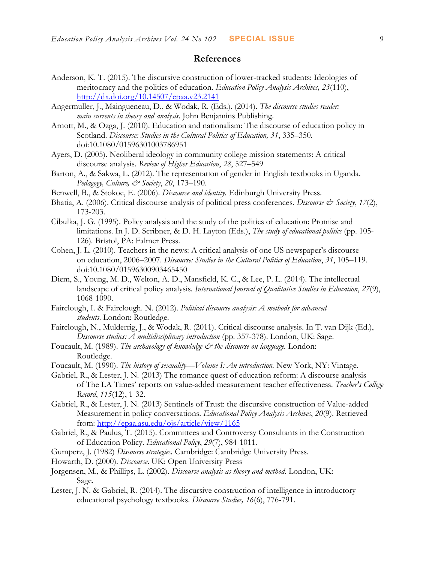### **References**

- Anderson, K. T. (2015). The discursive construction of lower-tracked students: Ideologies of meritocracy and the politics of education. *Education Policy Analysis Archives, 23*(110), <http://dx.doi.org/10.14507/epaa.v23.2141>
- Angermuller, J., Maingueneau, D., & Wodak, R. (Eds.). (2014). *The discourse studies reader: main currents in theory and analysis*. John Benjamins Publishing.
- Arnott, M., & Ozga, J. (2010). Education and nationalism: The discourse of education policy in Scotland. *Discourse: Studies in the Cultural Politics of Education, 31*, 335–350. doi:10.1080/01596301003786951
- Ayers, D. (2005). Neoliberal ideology in community college mission statements: A critical discourse analysis. *Review of Higher Education*, *28*, 527–549
- Barton, A., & Sakwa, L. (2012). The representation of gender in English textbooks in Uganda. *Pedagogy, Culture, & Society*, *20*, 173–190.
- Benwell, B., & Stokoe, E. (2006). *Discourse and identity*. Edinburgh University Press.
- Bhatia, A. (2006). Critical discourse analysis of political press conferences. *Discourse & Society*, 17(2), 173-203.
- Cibulka, J. G. (1995). Policy analysis and the study of the politics of education: Promise and limitations. In J. D. Scribner, & D. H. Layton (Eds.), *The study of educational politics* (pp. 105- 126)*.* Bristol, PA: Falmer Press.
- Cohen, J. L. (2010). Teachers in the news: A critical analysis of one US newspaper's discourse on education, 2006–2007. *Discourse: Studies in the Cultural Politics of Education*, *31*, 105–119. doi:10.1080/01596300903465450
- Diem, S., Young, M. D., Welton, A. D., Mansfield, K. C., & Lee, P. L. (2014). The intellectual landscape of critical policy analysis. *International Journal of Qualitative Studies in Education*, *27*(9), 1068-1090.
- Fairclough, I. & Fairclough. N. (2012). *Political discourse analysis: A methods for advanced students*. London: Routledge.
- Fairclough, N., Mulderrig, J., & Wodak, R. (2011). Critical discourse analysis. In T. van Dijk (Ed.), *Discourse studies: A multidisciplinary introduction* (pp. 357-378). London, UK: Sage.
- Foucault, M. (1989). *The archaeology of knowledge*  $\breve{c}$  *the discourse on language*. London: Routledge.
- Foucault, M. (1990). *The history of sexuality—Volume I: An introduction.* New York, NY: Vintage.
- Gabriel, R., & Lester, J. N. (2013) The romance quest of education reform: A discourse analysis of The LA Times' reports on value-added measurement teacher effectiveness. *Teacher's College Record*, *115*(12), 1-32.
- Gabriel, R., & Lester, J. N. (2013) Sentinels of Trust: the discursive construction of Value-added Measurement in policy conversations. *Educational Policy Analysis Archives*, *20*(9). Retrieved from:<http://epaa.asu.edu/ojs/article/view/1165>
- Gabriel, R., & Paulus, T. (2015). Committees and Controversy Consultants in the Construction of Education Policy. *Educational Policy*, *29*(7), 984-1011.
- Gumperz, J. (1982) *Discourse strategies.* Cambridge: Cambridge University Press.
- Howarth, D. (2000). *Discourse*. UK: Open University Press
- Jorgensen, M., & Phillips, L. (2002). *Discourse analysis as theory and method*. London, UK: Sage.
- Lester, J. N. & Gabriel, R. (2014). The discursive construction of intelligence in introductory educational psychology textbooks. *Discourse Studies, 16*(6), 776-791.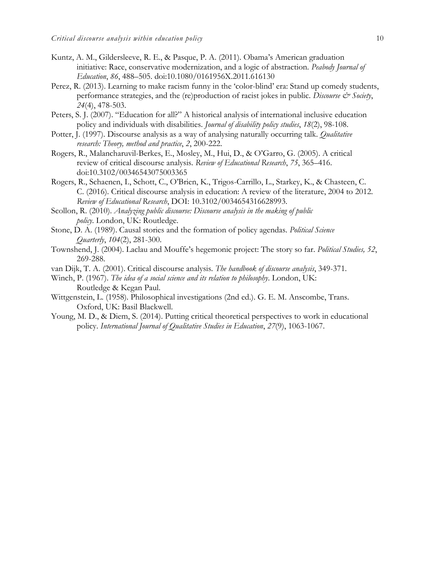- Kuntz, A. M., Gildersleeve, R. E., & Pasque, P. A. (2011). Obama's American graduation initiative: Race, conservative modernization, and a logic of abstraction. *Peabody Journal of Education*, *86*, 488–505. doi:10.1080/0161956X.2011.616130
- Perez, R. (2013). Learning to make racism funny in the 'color-blind' era: Stand up comedy students, performance strategies, and the (re)production of racist jokes in public. *Discourse & Society*, *24*(4), 478-503.
- Peters, S. J. (2007). "Education for all?" A historical analysis of international inclusive education policy and individuals with disabilities. *Journal of disability policy studies*, *18*(2), 98-108.
- Potter, J. (1997). Discourse analysis as a way of analysing naturally occurring talk. *Qualitative research: Theory, method and practice*, *2*, 200-222.
- Rogers, R., Malancharuvil-Berkes, E., Mosley, M., Hui, D., & O'Garro, G. (2005). A critical review of critical discourse analysis. *Review of Educational Research*, *75*, 365–416. doi:10.3102/00346543075003365
- Rogers, R., Schaenen, I., Schott, C., O'Brien, K., Trigos-Carrillo, L., Starkey, K., & Chasteen, C. C. (2016). Critical discourse analysis in education: A review of the literature, 2004 to 2012. *Review of Educational Research*, DOI: 10.3102/0034654316628993.
- Scollon, R. (2010). *Analyzing public discourse: Discourse analysis in the making of public policy*. London, UK: Routledge.
- Stone, D. A. (1989). Causal stories and the formation of policy agendas. *Political Science Quarterly*, *104*(2), 281-300.
- Townshend, J. (2004). Laclau and Mouffe's hegemonic project: The story so far. *Political Studies, 52*, 269-288.
- van Dijk, T. A. (2001). Critical discourse analysis. *The handbook of discourse analysis*, 349-371.
- Winch, P. (1967). *The idea of a social science and its relation to philosophy*. London, UK: Routledge & Kegan Paul.
- Wittgenstein, L. (1958). Philosophical investigations (2nd ed.). G. E. M. Anscombe, Trans. Oxford, UK: Basil Blackwell.
- Young, M. D., & Diem, S. (2014). Putting critical theoretical perspectives to work in educational policy. *International Journal of Qualitative Studies in Education*, *27*(9), 1063-1067.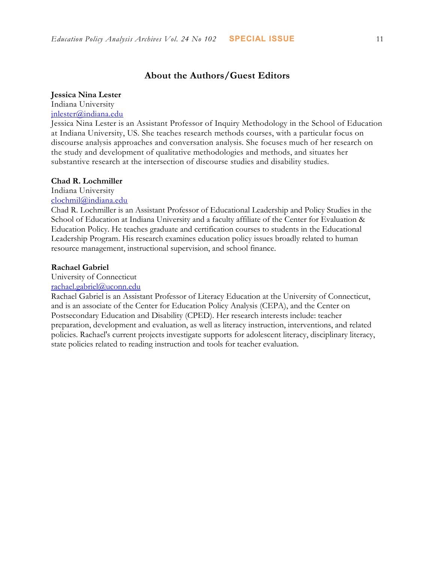### **Jessica Nina Lester**

Indiana University [jnlester@indiana.edu](mailto:clochmil@indiana.edu)

Jessica Nina Lester is an Assistant Professor of Inquiry Methodology in the School of Education at Indiana University, US. She teaches research methods courses, with a particular focus on discourse analysis approaches and conversation analysis. She focuses much of her research on the study and development of qualitative methodologies and methods, and situates her substantive research at the intersection of discourse studies and disability studies.

### **Chad R. Lochmiller**

Indiana University

[clochmil@indiana.edu](mailto:clochmil@indiana.edu)

Chad R. Lochmiller is an Assistant Professor of Educational Leadership and Policy Studies in the School of Education at Indiana University and a faculty affiliate of the Center for Evaluation & Education Policy. He teaches graduate and certification courses to students in the Educational Leadership Program. His research examines education policy issues broadly related to human resource management, instructional supervision, and school finance.

### **Rachael Gabriel**

University of Connecticut

### [rachael.gabriel@uconn.edu](mailto:rachael.gabriel@uconn.edu)

Rachael Gabriel is an Assistant Professor of Literacy Education at the University of Connecticut, and is an associate of the Center for Education Policy Analysis (CEPA), and the Center on Postsecondary Education and Disability (CPED). Her research interests include: teacher preparation, development and evaluation, as well as literacy instruction, interventions, and related policies. Rachael's current projects investigate supports for adolescent literacy, disciplinary literacy, state policies related to reading instruction and tools for teacher evaluation.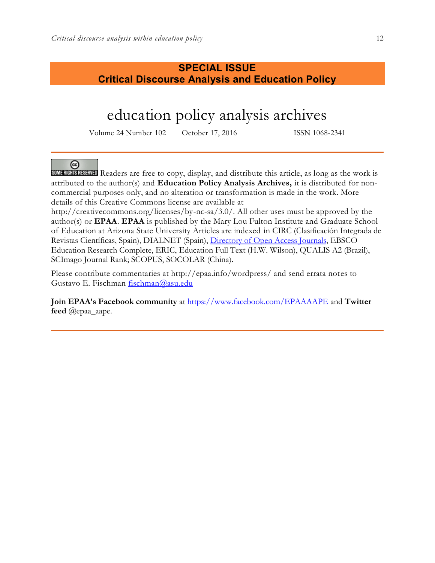## **SPECIAL ISSUE Critical Discourse Analysis and Education Policy**

# education policy analysis archives

Volume 24 Number 102 October 17, 2016 ISSN 1068-2341

### @

**SOME RIGHTS RESERVED** Readers are free to copy, display, and distribute this article, as long as the work is attributed to the author(s) and **Education Policy Analysis Archives,** it is distributed for noncommercial purposes only, and no alteration or transformation is made in the work. More details of this Creative Commons license are available at

http://creativecommons.org/licenses/by-nc-sa/3.0/. All other uses must be approved by the author(s) or **EPAA**. **EPAA** is published by the Mary Lou Fulton Institute and Graduate School of Education at Arizona State University Articles are indexed in CIRC (Clasificación Integrada de Revistas Científicas, Spain), DIALNET (Spain), [Directory of Open Access Journals,](http://www.doaj.org/) EBSCO Education Research Complete, ERIC, Education Full Text (H.W. Wilson), QUALIS A2 (Brazil), SCImago Journal Rank; SCOPUS, SOCOLAR (China).

Please contribute commentaries at http://epaa.info/wordpress/ and send errata notes to Gustavo E. Fischman [fischman@asu.edu](mailto:fischman@asu.edu)

**Join EPAA's Facebook community** at<https://www.facebook.com/EPAAAAPE> and **Twitter feed** @epaa\_aape.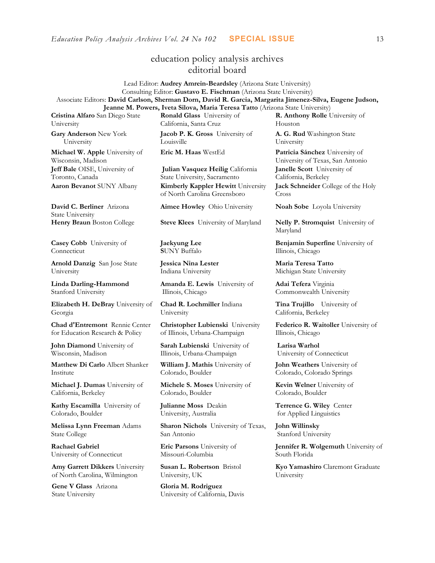### education policy analysis archives editorial board

Lead Editor: **Audrey Amrein-Beardsley** (Arizona State University) Consulting Editor: **Gustavo E. Fischman** (Arizona State University) Associate Editors: **David Carlson, Sherman Dorn, David R. Garcia, Margarita Jimenez-Silva, Eugene Judson, Jeanne M. Powers, Iveta Silova, Maria Teresa Tatto** (Arizona State University)

**Cristina Alfaro** San Diego State University

**Gary Anderson** New York University

**Michael W. Apple** University of Wisconsin, Madison **Jeff Bale** OISE, University of Toronto, Canada

**David C. Berliner** Arizona State University

**Casey Cobb** University of Connecticut

**Arnold Danzig** San Jose State University

**Linda Darling-Hammond**  Stanford University

**Elizabeth H. DeBray** University of Georgia

**Chad d'Entremont** Rennie Center for Education Research & Policy

**John Diamond** University of Wisconsin, Madison

**Matthew Di Carlo** Albert Shanker Institute

**Michael J. Dumas** University of California, Berkeley

**Kathy Escamilla** University of Colorado, Boulder

**Melissa Lynn Freeman** Adams State College

**Rachael Gabriel** University of Connecticut

**Amy Garrett Dikkers** University of North Carolina, Wilmington

**Gene V Glass** Arizona State University

**Ronald Glass** University of California, Santa Cruz

**Jacob P. K. Gross** University of Louisville

**Julian Vasquez Heilig** California State University, Sacramento **Aaron Bevanot** SUNY Albany **Kimberly Kappler Hewitt** University of North Carolina Greensboro

**Aimee Howley** Ohio University **Noah Sobe** Loyola University

**Henry Braun** Boston College **Steve Klees** University of Maryland **Nelly P. Stromquist** University of

**Jaekyung Lee S**UNY Buffalo

**Jessica Nina Lester** Indiana University

**Amanda E. Lewis** University of Illinois, Chicago

**Chad R. Lochmiller** Indiana University

**Christopher Lubienski** University of Illinois, Urbana-Champaign

**Sarah Lubienski** University of Illinois, Urbana-Champaign

**William J. Mathis** University of Colorado, Boulder

**Michele S. Moses** University of Colorado, Boulder

**Julianne Moss** Deakin University, Australia

**Sharon Nichols** University of Texas, San Antonio

**Eric Parsons** University of Missouri-Columbia

**Susan L. Robertson** Bristol University, UK

**Gloria M. Rodriguez** University of California, Davis **R. Anthony Rolle** University of Houston

**A. G. Rud** Washington State University

**Eric M. Haas** WestEd **Patricia Sánchez** University of University of Texas, San Antonio **Janelle Scott** University of California, Berkeley **Jack Schneider** College of the Holy

Cross

Maryland

**Benjamin Superfine** University of Illinois, Chicago

**Maria Teresa Tatto**  Michigan State University

**Adai Tefera** Virginia Commonwealth University

**Tina Trujillo** University of California, Berkeley

**Federico R. Waitoller** University of Illinois, Chicago

**Larisa Warhol** University of Connecticut

**John Weathers** University of Colorado, Colorado Springs

**Kevin Welner** University of Colorado, Boulder

**Terrence G. Wiley** Center for Applied Linguistics

**John Willinsky**  Stanford University

**Jennifer R. Wolgemuth** University of South Florida

**Kyo Yamashiro** Claremont Graduate University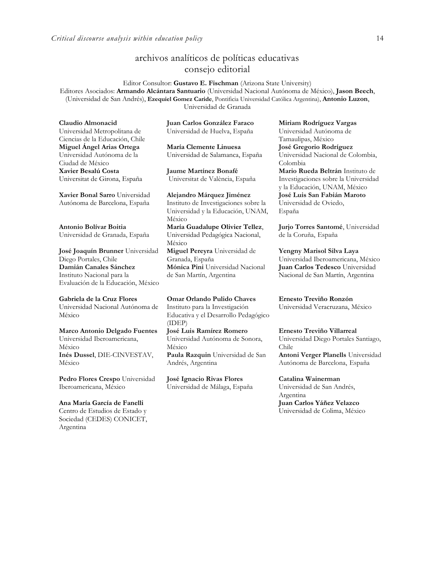### archivos analíticos de políticas educativas consejo editorial

Editor Consultor: **Gustavo E. Fischman** (Arizona State University) Editores Asociados: **Armando Alcántara Santuario** (Universidad Nacional Autónoma de México), **Jason Beech**, (Universidad de San Andrés), **Ezequiel Gomez Caride**, Pontificia Universidad Católica Argentina), **Antonio Luzon**, Universidad de Granada

**Claudio Almonacid** Universidad Metropolitana de Ciencias de la Educación, Chile **Miguel Ángel Arias Ortega**  Universidad Autónoma de la Ciudad de México **Xavier Besalú Costa**  Universitat de Girona, España

**[Xavier Bonal](javascript:openRTWindow() Sarro** Universidad Autónoma de Barcelona, España

**[Antonio Bolívar](javascript:openRTWindow() Boitia** Universidad de Granada, España

**[José Joaquín Brunner](javascript:openRTWindow()** Universidad Diego Portales, Chile **[Damián Canales Sánchez](javascript:openRTWindow()** Instituto Nacional para la Evaluación de la Educación, México

### **Gabriela de la Cruz Flores** Universidad Nacional Autónoma de

México

**[Marco Antonio Delgado Fuentes](javascript:openRTWindow()** Universidad Iberoamericana, México **[Inés Dussel](javascript:openRTWindow()**, DIE-CINVESTAV, México

**[Pedro Flores Crespo](javascript:openRTWindow()** Universidad Iberoamericana, México

### **Ana María García de Fanelli**

Centro de Estudios de Estado y Sociedad (CEDES) CONICET, Argentina

**Juan Carlos González Faraco**  Universidad de Huelva, España

**María Clemente Linuesa**  Universidad de Salamanca, España

**Jaume Martínez Bonafé** Universitat de València, España

**Alejandro Márquez Jiménez**  Instituto de Investigaciones sobre la Universidad y la Educación, UNAM, México **María Guadalupe Olivier Tellez**, Universidad Pedagógica Nacional, México **[Miguel Pereyra](javascript:openRTWindow()** Universidad de Granada, España **[Mónica Pini](javascript:openRTWindow()** Universidad Nacional

de San Martín, Argentina

**Omar Orlando Pulido Chaves** Instituto para la Investigación Educativa y el Desarrollo Pedagógico (IDEP) **[José Luis Ramírez](javascript:openRTWindow() Romero**

Universidad Autónoma de Sonora, México **[Paula Razquin](javascript:openRTWindow()** Universidad de San Andrés, Argentina

**José Ignacio Rivas Flores** Universidad de Málaga, España **[Miriam Rodríguez Vargas](javascript:openRTWindow()** Universidad Autónoma de Tamaulipas, México **José Gregorio Rodríguez**  Universidad Nacional de Colombia, Colombia **[Mario Rueda Beltrán](javascript:openRTWindow()** Instituto de Investigaciones sobre la Universidad y la Educación, UNAM, México **José Luis San Fabián Maroto**  Universidad de Oviedo, España

**[Jurjo Torres Santomé](javascript:openRTWindow()**, Universidad de la Coruña, España

**[Yengny Marisol Silva Laya](javascript:openRTWindow()** Universidad Iberoamericana, México **Juan Carlos Tedesco** Universidad Nacional de San Martín, Argentina

**Ernesto Treviño Ronzón** Universidad Veracruzana, México

**[Ernesto Treviño](javascript:openRTWindow() Villarreal** Universidad Diego Portales Santiago, Chile **[Antoni Verger Planells](javascript:openRTWindow()** Universidad Autónoma de Barcelona, España

**[Catalina Wainerman](javascript:openRTWindow()** Universidad de San Andrés,

Argentina **Juan Carlos Yáñez Velazco** Universidad de Colima, México